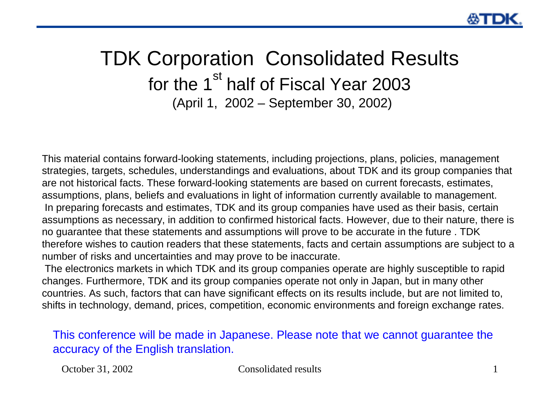### TDK Corporation Consolidated Results for the 1<sup>st</sup> half of Fiscal Year 2003 (April 1, 2002 – September 30, 2002)

This material contains forward-looking statements, including projections, plans, policies, management strategies, targets, schedules, understandings and evaluations, about TDK and its group companies that are not historical facts. These forward-looking statements are based on current forecasts, estimates, assumptions, plans, beliefs and evaluations in light of information currently available to management. In preparing forecasts and estimates, TDK and its group companies have used as their basis, certain assumptions as necessary, in addition to confirmed historical facts. However, due to their nature, there is no guarantee that these statements and assumptions will prove to be accurate in the future . TDK therefore wishes to caution readers that these statements, facts and certain assumptions are subject to a number of risks and uncertainties and may prove to be inaccurate.

The electronics markets in which TDK and its group companies operate are highly susceptible to rapid changes. Furthermore, TDK and its group companies operate not only in Japan, but in many other countries. As such, factors that can have significant effects on its results include, but are not limited to, shifts in technology, demand, prices, competition, economic environments and foreign exchange rates.

This conference will be made in Japanese. Please note that we cannot guarantee the accuracy of the English translation.

#### October 31, 2002 Consolidated results 1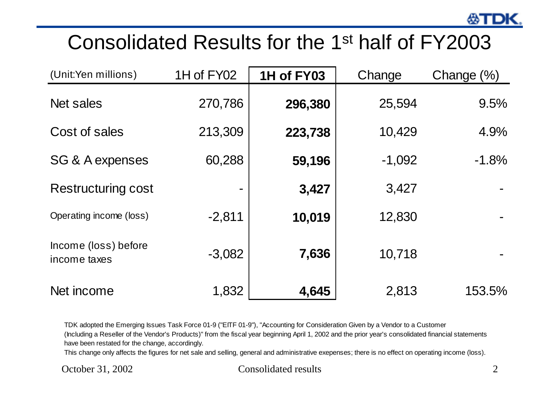## Consolidated Results for the 1st half of FY2003

| (Unit:Yen millions)                  | 1H of FY02 | 1H of FY03 | Change   | Change (%) |
|--------------------------------------|------------|------------|----------|------------|
| <b>Net sales</b>                     | 270,786    | 296,380    | 25,594   | 9.5%       |
| Cost of sales                        | 213,309    | 223,738    | 10,429   | 4.9%       |
| SG & A expenses                      | 60,288     | 59,196     | $-1,092$ | $-1.8%$    |
| <b>Restructuring cost</b>            |            | 3,427      | 3,427    |            |
| Operating income (loss)              | $-2,811$   | 10,019     | 12,830   |            |
| Income (loss) before<br>income taxes | $-3,082$   | 7,636      | 10,718   |            |
| Net income                           | 1,832      | 4,645      | 2,813    | 153.5%     |

TDK adopted the Emerging Issues Task Force 01-9 ("EITF 01-9"), "Accounting for Consideration Given by a Vendor to a Customer

(Including a Reseller of the Vendor's Products)" from the fiscal year beginning April 1, 2002 and the prior year's consolidated financial statements have been restated for the change, accordingly.

This change only affects the figures for net sale and selling, general and administrative exepenses; there is no effect on operating income (loss).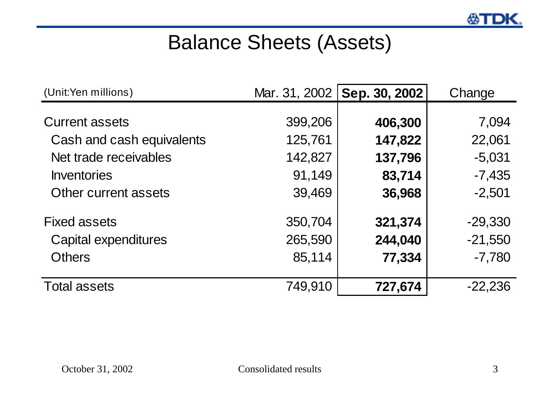## Balance Sheets (Assets)

| (Unit:Yen millions)       |         | Mar. 31, 2002   Sep. 30, 2002 | Change    |
|---------------------------|---------|-------------------------------|-----------|
| <b>Current assets</b>     | 399,206 | 406,300                       | 7,094     |
| Cash and cash equivalents | 125,761 | 147,822                       | 22,061    |
| Net trade receivables     | 142,827 | 137,796                       | $-5,031$  |
| Inventories               | 91,149  | 83,714                        | $-7,435$  |
| Other current assets      | 39,469  | 36,968                        | $-2,501$  |
| <b>Fixed assets</b>       | 350,704 | 321,374                       | $-29,330$ |
| Capital expenditures      | 265,590 | 244,040                       | $-21,550$ |
| <b>Others</b>             | 85,114  | 77,334                        | $-7,780$  |
| <b>Total assets</b>       | 749,910 | 727,674                       | $-22,236$ |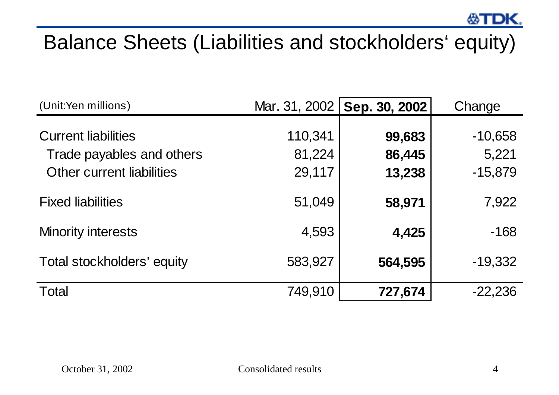# Balance Sheets (Liabilities and stockholders' equity)

| (Unit:Yen millions)                                                                         | Mar. 31, 2002               | Sep. 30, 2002              | Change                          |
|---------------------------------------------------------------------------------------------|-----------------------------|----------------------------|---------------------------------|
| <b>Current liabilities</b><br>Trade payables and others<br><b>Other current liabilities</b> | 110,341<br>81,224<br>29,117 | 99,683<br>86,445<br>13,238 | $-10,658$<br>5,221<br>$-15,879$ |
| <b>Fixed liabilities</b>                                                                    | 51,049                      | 58,971                     | 7,922                           |
| <b>Minority interests</b>                                                                   | 4,593                       | 4,425                      | $-168$                          |
| Total stockholders' equity                                                                  | 583,927                     | 564,595                    | $-19,332$                       |
| <b>Total</b>                                                                                | 749,910                     | 727,674                    | $-22,236$                       |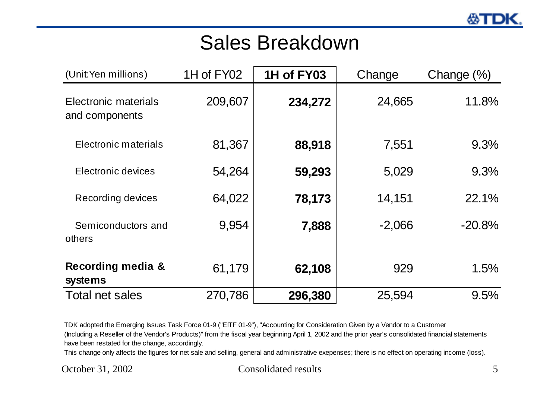### Sales Breakdown

| (Unit:Yen millions)                    | 1H of FY02 | 1H of FY03 | Change   | Change $(\%)$ |
|----------------------------------------|------------|------------|----------|---------------|
| Electronic materials<br>and components | 209,607    | 234,272    | 24,665   | 11.8%         |
| <b>Electronic materials</b>            | 81,367     | 88,918     | 7,551    | 9.3%          |
| Electronic devices                     | 54,264     | 59,293     | 5,029    | 9.3%          |
| Recording devices                      | 64,022     | 78,173     | 14,151   | 22.1%         |
| Semiconductors and<br>others           | 9,954      | 7,888      | $-2,066$ | $-20.8%$      |
| Recording media &<br>systems           | 61,179     | 62,108     | 929      | 1.5%          |
| Total net sales                        | 270,786    | 296,380    | 25,594   | 9.5%          |

TDK adopted the Emerging Issues Task Force 01-9 ("EITF 01-9"), "Accounting for Consideration Given by a Vendor to a Customer (Including a Reseller of the Vendor's Products)" from the fiscal year beginning April 1, 2002 and the prior year's consolidated financial statements have been restated for the change, accordingly.

This change only affects the figures for net sale and selling, general and administrative exepenses; there is no effect on operating income (loss).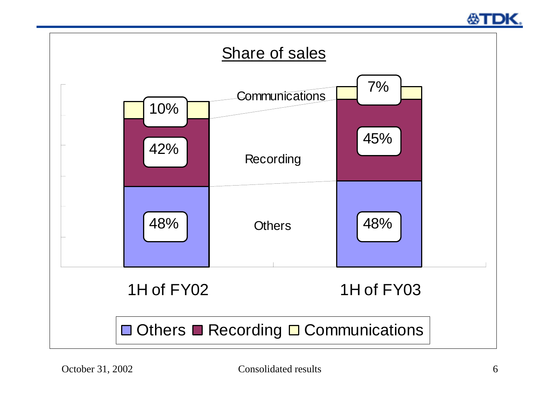

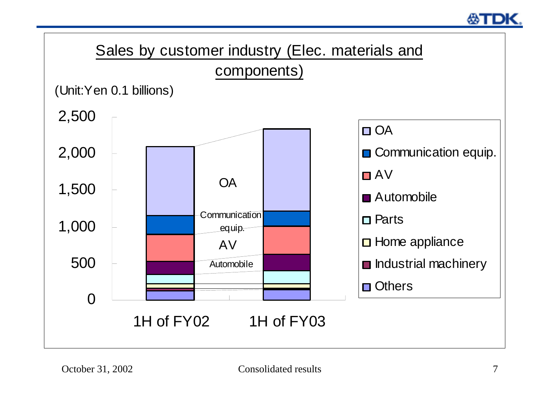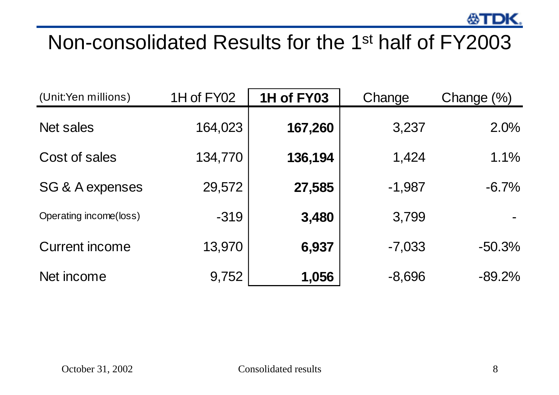## Non-consolidated Results for the 1st half of FY2003

| (Unit:Yen millions)        | 1H of FY02 | 1H of FY03 | Change   | Change $(\%)$ |
|----------------------------|------------|------------|----------|---------------|
| <b>Net sales</b>           | 164,023    | 167,260    | 3,237    | 2.0%          |
| Cost of sales              | 134,770    | 136,194    | 1,424    | 1.1%          |
| <b>SG &amp; A expenses</b> | 29,572     | 27,585     | $-1,987$ | $-6.7\%$      |
| Operating income(loss)     | $-319$     | 3,480      | 3,799    |               |
| <b>Current income</b>      | 13,970     | 6,937      | $-7,033$ | $-50.3%$      |
| Net income                 | 9,752      | 1,056      | $-8,696$ | $-89.2\%$     |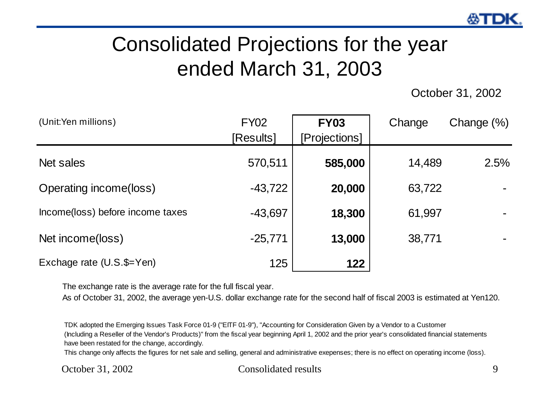# Consolidated Projections for the year ended March 31, 2003

October 31, 2002

| (Unit:Yen millions)              | <b>FY02</b><br>[Results] | <b>FY03</b><br>[Projections] | Change | Change $(\%)$ |
|----------------------------------|--------------------------|------------------------------|--------|---------------|
| Net sales                        | 570,511                  | 585,000                      | 14,489 | 2.5%          |
| Operating income(loss)           | $-43,722$                | 20,000                       | 63,722 |               |
| Income(loss) before income taxes | $-43,697$                | 18,300                       | 61,997 |               |
| Net income(loss)                 | $-25,771$                | 13,000                       | 38,771 |               |
| Exchage rate (U.S.\$=Yen)        | 125                      | 122                          |        |               |

The exchange rate is the average rate for the full fiscal year.

As of October 31, 2002, the average yen-U.S. dollar exchange rate for the second half of fiscal 2003 is estimated at Yen120.

TDK adopted the Emerging Issues Task Force 01-9 ("EITF 01-9"), "Accounting for Consideration Given by a Vendor to a Customer (Including a Reseller of the Vendor's Products)" from the fiscal year beginning April 1, 2002 and the prior year's consolidated financial statements have been restated for the change, accordingly.

This change only affects the figures for net sale and selling, general and administrative exepenses; there is no effect on operating income (loss).

#### October 31, 2002 Consolidated results 9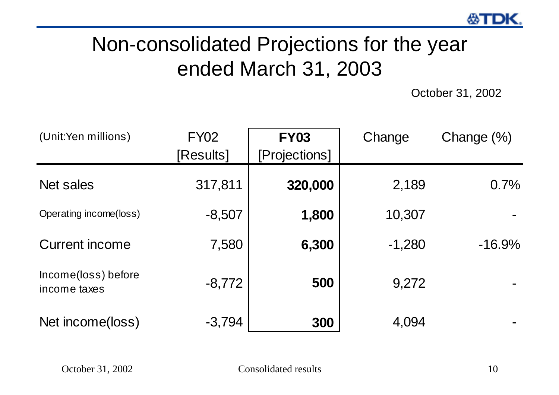# Non-consolidated Projections for the year ended March 31, 2003

October 31, 2002

| (Unit:Yen millions)                 | <b>FY02</b><br>[Results] | <b>FY03</b><br>[Projections] | Change   | Change $(\%)$ |
|-------------------------------------|--------------------------|------------------------------|----------|---------------|
| Net sales                           | 317,811                  | 320,000                      | 2,189    | 0.7%          |
| Operating income(loss)              | $-8,507$                 | 1,800                        | 10,307   |               |
| <b>Current income</b>               | 7,580                    | 6,300                        | $-1,280$ | $-16.9\%$     |
| Income(loss) before<br>income taxes | $-8,772$                 | 500                          | 9,272    |               |
| Net income(loss)                    | $-3,794$                 | 300                          | 4,094    |               |